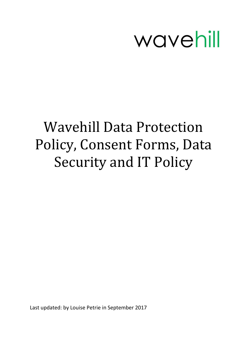

# Wavehill Data Protection Policy, Consent Forms, Data Security and IT Policy

Last updated: by Louise Petrie in September 2017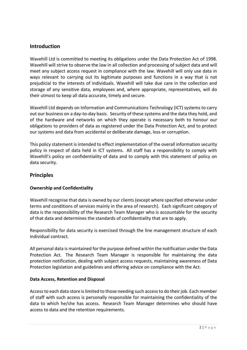# **Introduction**

Wavehill Ltd is committed to meeting its obligations under the Data Protection Act of 1998. Wavehill will strive to observe the law in all collection and processing of subject data and will meet any subject access request in compliance with the law. Wavehill will only use data in ways relevant to carrying out its legitimate purposes and functions in a way that is not prejudicial to the interests of individuals. Wavehill will take due care in the collection and storage of any sensitive data, employees and, where appropriate, representatives, will do their utmost to keep all data accurate, timely and secure.

Wavehill Ltd depends on Information and Communications Technology (ICT) systems to carry out our business on a day-to-day basis. Security of these systems and the data they hold, and of the hardware and networks on which they operate is necessary both to honour our obligations to providers of data as registered under the Data Protection Act, and to protect our systems and data from accidental or deliberate damage, loss or corruption.

This policy statement is intended to effect implementation of the overall information security policy in respect of data held in ICT systems. All staff has a responsibility to comply with Wavehill's policy on confidentiality of data and to comply with this statement of policy on data security.

# **Principles**

## **Ownership and Confidentiality**

Wavehill recognise that data is owned by our clients (except where specified otherwise under terms and conditions of services mainly in the area of research). Each significant category of data is the responsibility of the Research Team Manager who is accountable for the security of that data and determines the standards of confidentiality that are to apply.

Responsibility for data security is exercised through the line management structure of each individual contract.

All personal data is maintained for the purpose defined within the notification under the Data Protection Act. The Research Team Manager is responsible for maintaining the data protection notification, dealing with subject access requests, maintaining awareness of Data Protection legislation and guidelines and offering advice on compliance with the Act.

#### **Data Access, Retention and Disposal**

Access to each data store is limited to those needing such access to do their job. Each member of staff with such access is personally responsible for maintaining the confidentiality of the data to which he/she has access. Research Team Manager determines who should have access to data and the retention requirements.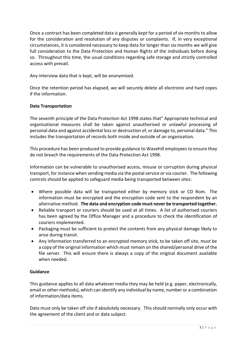Once a contract has been completed data is generally kept for a period of six months to allow for the consideration and resolution of any disputes or complaints. If, in very exceptional circumstances, it is considered necessary to keep data for longer than six months we will give full consideration to the Data Protection and Human Rights of the individuals before doing so. Throughout this time, the usual conditions regarding safe storage and strictly controlled access with prevail.

Any interview data that is kept, will be anonymised.

Once the retention period has elapsed, we will securely delete all electronic and hard copes if the information.

## **Data Transportation**

The seventh principle of the Data Protection Act 1998 states that" Appropriate technical and organisational measures shall be taken against unauthorised or unlawful processing of personal data and against accidental loss or destruction of, or damage to, personal data." This includes the transportation of records both inside and outside of an organisation.

This procedure has been produced to provide guidance to Wavehill employees to ensure they do not breach the requirements of the Data Protection Act 1998.

Information can be vulnerable to unauthorised access, misuse or corruption during physical transport, for instance when sending media via the postal service or via courier. The following controls should be applied to safeguard media being transported between sites:

- Where possible data will be transported either by memory stick or CD Rom. The information must be encrypted and the encryption code sent to the respondent by an alternative method. **The data and encryption code must never be transported together.**
- Reliable transport or couriers should be used at all times. A list of authorised couriers has been agreed by the Office Manager and a procedure to check the identification of couriers implemented.
- Packaging must be sufficient to protect the contents from any physical damage likely to arise during transit.
- Any information transferred to an encrypted memory stick, to be taken off site, must be a copy of the original information which must remain on the shared/personal drive of the file server. This will ensure there is always a copy of the original document available when needed.

## **Guidance**

This guidance applies to all data whatever media they may be held (e.g. paper, electronically, email or other methods), which can identify any individual by name, number or a combination of information/data items.

Data must only be taken off site if absolutely necessary. This should normally only occur with the agreement of the client and or data subject.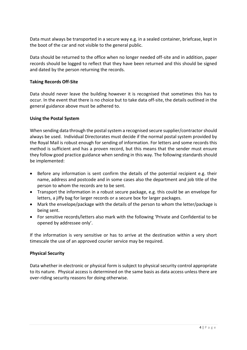Data must always be transported in a secure way e.g. in a sealed container, briefcase, kept in the boot of the car and not visible to the general public.

Data should be returned to the office when no longer needed off-site and in addition, paper records should be logged to reflect that they have been returned and this should be signed and dated by the person returning the records.

## **Taking Records Off-Site**

Data should never leave the building however it is recognised that sometimes this has to occur. In the event that there is no choice but to take data off-site, the details outlined in the general guidance above must be adhered to.

## **Using the Postal System**

When sending data through the postal system a recognised secure supplier/contractor should always be used. Individual Directorates must decide if the normal postal system provided by the Royal Mail is robust enough for sending of information. For letters and some records this method is sufficient and has a proven record, but this means that the sender must ensure they follow good practice guidance when sending in this way. The following standards should be implemented:

- Before any information is sent confirm the details of the potential recipient e.g. their name, address and postcode and in some cases also the department and job title of the person to whom the records are to be sent.
- Transport the information in a robust secure package, e.g. this could be an envelope for letters, a jiffy bag for larger records or a secure box for larger packages.
- Mark the envelope/package with the details of the person to whom the letter/package is being sent.
- For sensitive records/letters also mark with the following 'Private and Confidential to be opened by addressee only'.

If the information is very sensitive or has to arrive at the destination within a very short timescale the use of an approved courier service may be required.

#### **Physical Security**

Data whether in electronic or physical form is subject to physical security control appropriate to its nature. Physical access is determined on the same basis as data access unless there are over-riding security reasons for doing otherwise.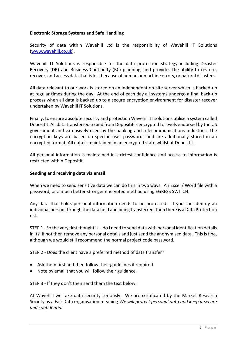## **Electronic Storage Systems and Safe Handling**

Security of data within Wavehill Ltd is the responsibility of Wavehill IT Solutions [\(www.wavehill.co.uk\)](http://www.wavehill.co.uk/).

Wavehill IT Solutions is responsible for the data protection strategy including Disaster Recovery (DR) and Business Continuity (BC) planning, and provides the ability to restore, recover, and access data that is lost because of human or machine errors, or natural disasters.

All data relevant to our work is stored on an independent on-site server which is backed-up at regular times during the day. At the end of each day all systems undergo a final back-up process when all data is backed up to a secure encryption environment for disaster recover undertaken by Wavehill IT Solutions.

Finally, to ensure absolute security and protection Wavehill IT solutions utilise a system called Depositit. All data transferred to and from Depositit is encrypted to levels endorsed by the US government and extensively used by the banking and telecommunications industries. The encryption keys are based on specific user passwords and are additionally stored in an encrypted format. All data is maintained in an encrypted state whilst at Depositit.

All personal information is maintained in strictest confidence and access to information is restricted within Depositit.

#### **Sending and receiving data via email**

When we need to send sensitive data we can do this in two ways. An Excel / Word file with a password, or a much better stronger encrypted method using EGRESS SWITCH.

Any data that holds personal information needs to be protected. If you can identify an individual person through the data held and being transferred, then there is a Data Protection risk.

STEP 1 - So the very first thought is – do I need to send data with personal identification details in it? If not then remove any personal details and just send the anonymised data. This is fine, although we would still recommend the normal project code password.

STEP 2 - Does the client have a preferred method of data transfer?

- Ask them first and then follow their guidelines if required.
- Note by email that you will follow their guidance.

STEP 3 - If they don't then send them the text below:

At Wavehill we take data security seriously. We are certificated by the Market Research Society as a Fair Data organisation meaning *We will protect personal data and keep it secure and confidential.*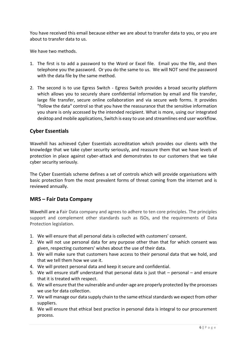You have received this email because either we are about to transfer data to you, or you are about to transfer data to us.

We have two methods.

- 1. The first is to add a password to the Word or Excel file. Email you the file, and then telephone you the password. Or you do the same to us. We will NOT send the password with the data file by the same method.
- 2. The second is to use Egress Switch Egress Switch provides a broad security platform which allows you to securely share confidential information by email and file transfer, large file transfer, secure online collaboration and via secure web forms. It provides "follow the data" control so that you have the reassurance that the sensitive information you share is only accessed by the intended recipient. What is more, using our integrated desktop and mobile applications, Switch is easy to use and streamlines end user workflow.

# **Cyber Essentials**

Wavehill has achieved Cyber Essentials accreditation which provides our clients with the knowledge that we take cyber security seriously, and reassure them that we have levels of protection in place against cyber-attack and demonstrates to our customers that we take cyber security seriously.

The Cyber Essentials scheme defines a set of controls which will provide organisations with basic protection from the most prevalent forms of threat coming from the internet and is reviewed annually.

# **MRS – Fair Data Company**

Wavehill are a Fair Data company and agrees to adhere to ten core principles. The principles support and complement other standards such as ISOs, and the requirements of Data Protection legislation.

- 1. We will ensure that all personal data is collected with customers' consent.
- 2. We will not use personal data for any purpose other than that for which consent was given, respecting customers' wishes about the use of their data.
- 3. We will make sure that customers have access to their personal data that we hold, and that we tell them how we use it.
- 4. We will protect personal data and keep it secure and confidential.
- 5. We will ensure staff understand that personal data is just that personal and ensure that it is treated with respect.
- 6. We will ensure that the vulnerable and under-age are properly protected by the processes we use for data collection.
- 7. We will manage our data supply chain to the same ethical standards we expect from other suppliers.
- 8. We will ensure that ethical best practice in personal data is integral to our procurement process.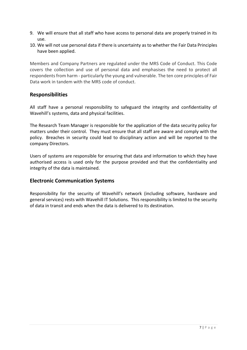- 9. We will ensure that all staff who have access to personal data are properly trained in its use.
- 10. We will not use personal data if there is uncertainty as to whether the Fair Data Principles have been applied.

Members and Company Partners are regulated under the MRS Code of Conduct. This Code covers the collection and use of personal data and emphasises the need to protect all respondents from harm - particularly the young and vulnerable. The ten core principles of Fair Data work in tandem with the MRS code of conduct.

# **Responsibilities**

All staff have a personal responsibility to safeguard the integrity and confidentiality of Wavehill's systems, data and physical facilities.

The Research Team Manager is responsible for the application of the data security policy for matters under their control. They must ensure that all staff are aware and comply with the policy. Breaches in security could lead to disciplinary action and will be reported to the company Directors.

Users of systems are responsible for ensuring that data and information to which they have authorised access is used only for the purpose provided and that the confidentiality and integrity of the data is maintained.

# **Electronic Communication Systems**

Responsibility for the security of Wavehill's network (including software, hardware and general services) rests with Wavehill IT Solutions. This responsibility is limited to the security of data in transit and ends when the data is delivered to its destination.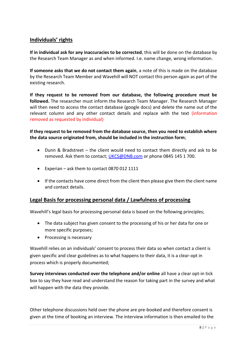# **Individuals' rights**

**If in individual ask for any inaccuracies to be corrected**, this will be done on the database by the Research Team Manager as and when informed. I.e. name change, wrong information.

**If someone asks that we do not contact them again**, a note of this is made on the database by the Research Team Member and Wavehill will NOT contact this person again as part of the existing research.

**If they request to be removed from our database, the following procedure must be followed.** The researcher must inform the Research Team Manager. The Research Manager will then need to access the contact database (google docs) and delete the name out of the relevant column and any other contact details and replace with the text (information removed as requested by individual)

**If they request to be removed from the database source, then you need to establish where the data source originated from, should be included in the instruction form**;

- Dunn & Bradstreet the client would need to contact them directly and ask to be removed. Ask them to contact; [UKCS@DNB.com](mailto:UKCS@DNB.com) or phone 0845 145 1 700.
- Experian ask them to contact 0870 012 1111
- If the contacts have come direct from the client then please give them the client name and contact details.

# **Legal Basis for processing personal data / Lawfulness of processing**

Wavehill's legal basis for processing personal data is based on the following principles;

- The data subject has given consent to the processing of his or her data for one or more specific purposes;
- Processing is necessary

Wavehill relies on an individuals' consent to process their data so when contact a client is given specific and clear guidelines as to what happens to their data, it is a clear-opt in process which is properly documented;

**Survey interviews conducted over the telephone and/or online** all have a clear opt-in tick box to say they have read and understand the reason for taking part in the survey and what will happen with the data they provide.

Other telephone discussions held over the phone are pre-booked and therefore consent is given at the time of booking an interview. The interview information is then emailed to the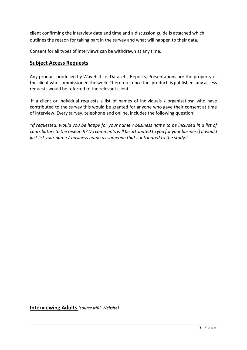client confirming the interview date and time and a discussion guide is attached which outlines the reason for taking part in the survey and what will happen to their data.

Consent for all types of interviews can be withdrawn at any time.

# **Subject Access Requests**

Any product produced by Wavehill i.e. Datasets, Reports, Presentations are the property of the client who commissioned the work. Therefore, once the 'product' is published, any access requests would be referred to the relevant client.

If a client or individual requests a list of names of individuals / organisatiosn who have contributed to the survey this would be granted for anyone who gave their consent at time of interview. Every survey, telephone and online, includes the following question;

*"If requested, would you be happy for your name / business name to be included in a list of contributors to the research? No comments will be attributed to you [or your business] it would just list your name / business name as someone that contributed to the study."* 

**Interviewing Adults** *(source MRS Website)*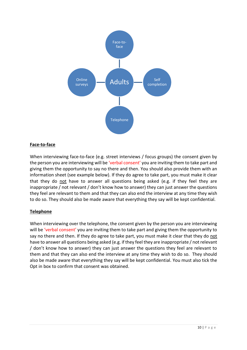

## **Face-to-face**

When interviewing face-to-face (e.g. street interviews / focus groups) the consent given by the person you are interviewing will be 'verbal consent' you are inviting them to take part and giving them the opportunity to say no there and then. You should also provide them with an information sheet (see example below). If they do agree to take part, you must make it clear that they do not have to answer all questions being asked (e.g. if they feel they are inappropriate / not relevant / don't know how to answer) they can just answer the questions they feel are relevant to them and that they can also end the interview at any time they wish to do so. They should also be made aware that everything they say will be kept confidential.

## **Telephone**

When interviewing over the telephone, the consent given by the person you are interviewing will be 'verbal consent' you are inviting them to take part and giving them the opportunity to say no there and then. If they do agree to take part, you must make it clear that they do not have to answer all questions being asked (e.g. if they feel they are inappropriate / not relevant / don't know how to answer) they can just answer the questions they feel are relevant to them and that they can also end the interview at any time they wish to do so. They should also be made aware that everything they say will be kept confidential. You must also tick the Opt in box to confirm that consent was obtained.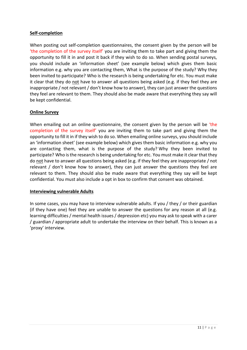## **Self-completion**

When posting out self-completion questionnaires, the consent given by the person will be 'the completion of the survey itself' you are inviting them to take part and giving them the opportunity to fill it in and post it back if they wish to do so. When sending postal surveys, you should include an 'information sheet' (see example below) which gives them basic information e.g. why you are contacting them, What is the purpose of the study? Why they been invited to participate? Who is the research is being undertaking for etc. You must make it clear that they do not have to answer all questions being asked (e.g. if they feel they are inappropriate / not relevant / don't know how to answer), they can just answer the questions they feel are relevant to them. They should also be made aware that everything they say will be kept confidential.

## **Online Survey**

When emailing out an online questionnaire, the consent given by the person will be 'the completion of the survey itself' you are inviting them to take part and giving them the opportunity to fill it in if they wish to do so. When emailing online surveys, you should include an 'information sheet' (see example below) which gives them basic information e.g. why you are contacting them, what is the purpose of the study? Why they been invited to participate? Who is the research is being undertaking for etc. You must make it clear that they do not have to answer all questions being asked (e.g. if they feel they are inappropriate / not relevant / don't know how to answer), they can just answer the questions they feel are relevant to them. They should also be made aware that everything they say will be kept confidential. You must also include a opt in box to confirm that consent was obtained.

## **Interviewing vulnerable Adults**

In some cases, you may have to interview vulnerable adults. If you / they / or their guardian (if they have one) feel they are unable to answer the questions for any reason at all (e.g. learning difficulties / mental health issues / depression etc) you may ask to speak with a carer / guardian / appropriate adult to undertake the interview on their behalf. This is known as a 'proxy' interview.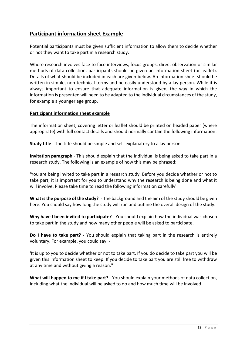# **Participant information sheet Example**

Potential participants must be given sufficient information to allow them to decide whether or not they want to take part in a research study.

Where research involves face to face interviews, focus groups, direct observation or similar methods of data collection, participants should be given an information sheet (or leaflet). Details of what should be included in each are given below. An information sheet should be written in simple, non-technical terms and be easily understood by a lay person. While it is always important to ensure that adequate information is given, the way in which the information is presented will need to be adapted to the individual circumstances of the study, for example a younger age group.

## **Participant information sheet example**

The information sheet, covering letter or leaflet should be printed on headed paper (where appropriate) with full contact details and should normally contain the following information:

**Study title** - The title should be simple and self-explanatory to a lay person.

**Invitation paragraph** - This should explain that the individual is being asked to take part in a research study. The following is an example of how this may be phrased:

'You are being invited to take part in a research study. Before you decide whether or not to take part, it is important for you to understand why the research is being done and what it will involve. Please take time to read the following information carefully'.

**What is the purpose of the study?** - The background and the aim of the study should be given here. You should say how long the study will run and outline the overall design of the study.

**Why have I been invited to participate?** - You should explain how the individual was chosen to take part in the study and how many other people will be asked to participate.

**Do I have to take part? -** You should explain that taking part in the research is entirely voluntary. For example, you could say: -

'It is up to you to decide whether or not to take part. If you do decide to take part you will be given this information sheet to keep. If you decide to take part you are still free to withdraw at any time and without giving a reason."

**What will happen to me if I take part?** - You should explain your methods of data collection, including what the individual will be asked to do and how much time will be involved.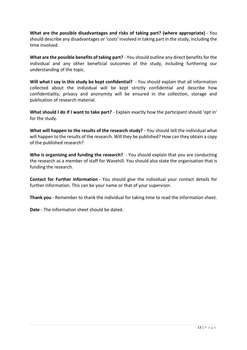**What are the possible disadvantages and risks of taking part? (where appropriate)** - You should describe any disadvantages or 'costs' involved in taking part in the study, including the time involved.

**What are the possible benefits of taking part?** - You should outline any direct benefits for the individual and any other beneficial outcomes of the study, including furthering our understanding of the topic.

**Will what I say in this study be kept confidential?** - You should explain that all information collected about the individual will be kept strictly confidential and describe how confidentiality, privacy and anonymity will be ensured in the collection, storage and publication of research material.

**What should I do if I want to take part?** - Explain exactly how the participant should 'opt in' for the study.

**What will happen to the results of the research study?** - You should tell the individual what will happen to the results of the research. Will they be published? How can they obtain a copy of the published research?

**Who is organising and funding the research?** - You should explain that you are conducting the research as a member of staff for Wavehill. You should also state the organisation that is funding the research.

**Contact for Further Information** - You should give the individual your contact details for further information. This can be your name or that of your supervisor.

**Thank you** - Remember to thank the individual for taking time to read the information sheet.

**Date** - The information sheet should be dated.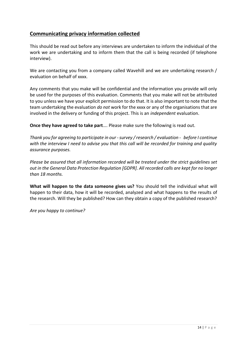# **Communicating privacy information collected**

This should be read out before any interviews are undertaken to inform the individual of the work we are undertaking and to inform them that the call is being recorded (if telephone interview).

We are contacting you from a company called Wavehill and we are undertaking research / evaluation on behalf of xxxx.

Any comments that you make will be confidential and the information you provide will only be used for the purposes of this evaluation. Comments that you make will not be attributed to you unless we have your explicit permission to do that. It is also important to note that the team undertaking the evaluation *do not* work for the xxxx or any of the organisations that are involved in the delivery or funding of this project. This is an *independent* evaluation.

**Once they have agreed to take part**…. Please make sure the following is read out.

*Thank you for agreeing to participate in our -survey / research / evaluation - before I continue with the interview I need to advise you that this call will be recorded for training and quality assurance purposes.* 

*Please be assured that all information recorded will be treated under the strict guidelines set out in the General Data Protection Regulation [GDPR]. All recorded calls are kept for no longer than 18 months.* 

**What will happen to the data someone gives us?** You should tell the individual what will happen to their data, how it will be recorded, analyzed and what happens to the results of the research. Will they be published? How can they obtain a copy of the published research?

*Are you happy to continue?*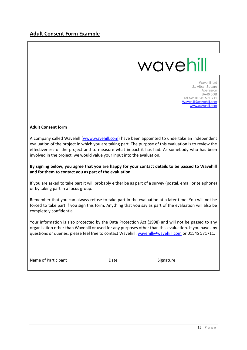# wavehill

Wavehill Ltd 21 Alban Square Aberaeron SA46 0DB Tel No: 01545 571 711 [Wavehill@wavehill.com](mailto:Wavehill@wavehill.com) [www.wavehill.com](http://www.wavehill.com/)

#### **Adult Consent form**

A company called Wavehill [\(www.wavehill.com\)](http://www.wavehill.com/) have been appointed to undertake an independent evaluation of the project in which you are taking part. The purpose of this evaluation is to review the effectiveness of the project and to measure what impact it has had. As somebody who has been involved in the project, we would value your input into the evaluation.

**By signing below, you agree that you are happy for your contact details to be passed to Wavehill and for them to contact you as part of the evaluation.** 

If you are asked to take part it will probably either be as part of a survey (postal, email or telephone) or by taking part in a focus group.

Remember that you can always refuse to take part in the evaluation at a later time. You will not be forced to take part if you sign this form. Anything that you say as part of the evaluation will also be completely confidential.

Your information is also protected by the Data Protection Act (1998) and will not be passed to any organisation other than Wavehill or used for any purposes other than this evaluation. If you have any questions or queries, please feel free to contact Wavehill: [wavehill@wavehill.com](mailto:wavehill@wavehill.com) or 01545 571711.

Name of Participant **Name of Participant Name of Participant**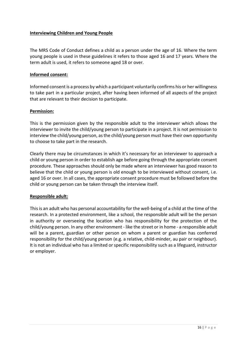## **Interviewing Children and Young People**

The MRS Code of Conduct defines a child as a person under the age of 16. Where the term young people is used in these guidelines it refers to those aged 16 and 17 years. Where the term adult is used, it refers to someone aged 18 or over.

## **Informed consent:**

Informed consent is a process by which a participant voluntarily confirms his or her willingness to take part in a particular project, after having been informed of all aspects of the project that are relevant to their decision to participate.

#### **Permission:**

This is the permission given by the responsible adult to the interviewer which allows the interviewer to invite the child/young person to participate in a project. It is not permission to interview the child/young person, as the child/young person must have their own opportunity to choose to take part in the research.

Clearly there may be circumstances in which it's necessary for an interviewer to approach a child or young person in order to establish age before going through the appropriate consent procedure. These approaches should only be made where an interviewer has good reason to believe that the child or young person is old enough to be interviewed without consent, i.e. aged 16 or over. In all cases, the appropriate consent procedure must be followed before the child or young person can be taken through the interview itself.

## **Responsible adult:**

This is an adult who has personal accountability for the well-being of a child at the time of the research. In a protected environment, like a school, the responsible adult will be the person in authority or overseeing the location who has responsibility for the protection of the child/young person. In any other environment - like the street or in home - a responsible adult will be a parent, guardian or other person on whom a parent or guardian has conferred responsibility for the child/young person (e.g. a relative, child-minder, au pair or neighbour). It is not an individual who has a limited or specific responsibility such as a lifeguard, instructor or employer.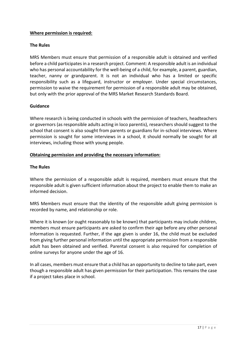## **Where permission is required:**

#### **The Rules**

MRS Members must ensure that permission of a responsible adult is obtained and verified before a child participates in a research project. Comment: A responsible adult is an individual who has personal accountability for the well-being of a child, for example, a parent, guardian, teacher, nanny or grandparent. It is not an individual who has a limited or specific responsibility such as a lifeguard, instructor or employer. Under special circumstances, permission to waive the requirement for permission of a responsible adult may be obtained, but only with the prior approval of the MRS Market Research Standards Board.

#### **Guidance**

Where research is being conducted in schools with the permission of teachers, headteachers or governors (as responsible adults acting in loco parentis), researchers should suggest to the school that consent is also sought from parents or guardians for in-school interviews. Where permission is sought for some interviews in a school, it should normally be sought for all interviews, including those with young people.

## **Obtaining permission and providing the necessary information:**

## **The Rules**

Where the permission of a responsible adult is required, members must ensure that the responsible adult is given sufficient information about the project to enable them to make an informed decision.

MRS Members must ensure that the identity of the responsible adult giving permission is recorded by name, and relationship or role.

Where it is known (or ought reasonably to be known) that participants may include children, members must ensure participants are asked to confirm their age before any other personal information is requested. Further, if the age given is under 16, the child must be excluded from giving further personal information until the appropriate permission from a responsible adult has been obtained and verified. Parental consent is also required for completion of online surveys for anyone under the age of 16.

In all cases, members must ensure that a child has an opportunity to decline to take part, even though a responsible adult has given permission for their participation. This remains the case if a project takes place in school.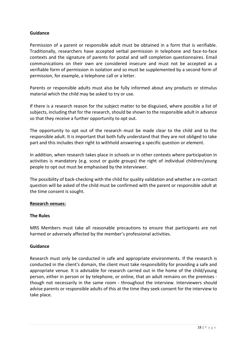## **Guidance**

Permission of a parent or responsible adult must be obtained in a form that is verifiable. Traditionally, researchers have accepted verbal permission in telephone and face-to-face contexts and the signature of parents for postal and self completion questionnaires. Email communications on their own are considered insecure and must not be accepted as a verifiable form of permission in isolation and so must be supplemented by a second form of permission, for example, a telephone call or a letter.

Parents or responsible adults must also be fully informed about any products or stimulus material which the child may be asked to try or use.

If there is a research reason for the subject matter to be disguised, where possible a list of subjects, including that for the research, should be shown to the responsible adult in advance so that they receive a further opportunity to opt out.

The opportunity to opt out of the research must be made clear to the child and to the responsible adult. It is important that both fully understand that they are not obliged to take part and this includes their right to withhold answering a specific question or element.

In addition, when research takes place in schools or in other contexts where participation in activities is mandatory (e.g. scout or guide groups) the right of individual children/young people to opt out must be emphasised by the interviewer.

The possibility of back-checking with the child for quality validation and whether a re-contact question will be asked of the child must be confirmed with the parent or responsible adult at the time consent is sought.

#### **Research venues:**

## **The Rules**

MRS Members must take all reasonable precautions to ensure that participants are not harmed or adversely affected by the member's professional activities.

#### **Guidance**

Research must only be conducted in safe and appropriate environments. If the research is conducted in the client's domain, the client must take responsibility for providing a safe and appropriate venue. It is advisable for research carried out in the home of the child/young person, either in person or by telephone, or online, that an adult remains on the premises though not necessarily in the same room - throughout the interview. Interviewers should advise parents or responsible adults of this at the time they seek consent for the interview to take place.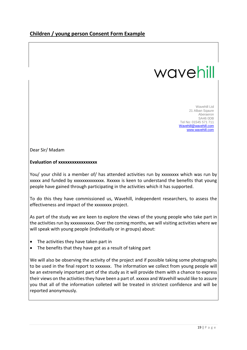# wavehill

Wavehill Ltd 21 Alban Sqaure Aberaeron SA46 0DB Tel No: 01545 571 711 [Wavehill@wavehill.com](mailto:Wavehill@wavehill.com) [www.wavehill.com](http://www.wavehill.com/)

Dear Sir/ Madam

## **Evaluation of xxxxxxxxxxxxxxxxx**

You/ your child is a member of/ has attended activities run by xxxxxxxx which was run by xxxxx and funded by xxxxxxxxxxxxxx. Xxxxxx is keen to understand the benefits that young people have gained through participating in the activities which it has supported.

To do this they have commissioned us, Wavehill, independent researchers, to assess the effectiveness and impact of the xxxxxxxx project.

As part of the study we are keen to explore the views of the young people who take part in the activities run by xxxxxxxxxxx. Over the coming months, we will visiting activities where we will speak with young people (individually or in groups) about:

- The activities they have taken part in
- The benefits that they have got as a result of taking part

We will also be observing the activity of the project and if possible taking some photographs to be used in the final report to xxxxxxx. The information we collect from young people will be an extremely important part of the study as it will provide them with a chance to express their views on the activities they have been a part of. xxxxxx and Wavehill would like to assure you that all of the information colleted will be treated in strictest confidence and will be reported anonymously.